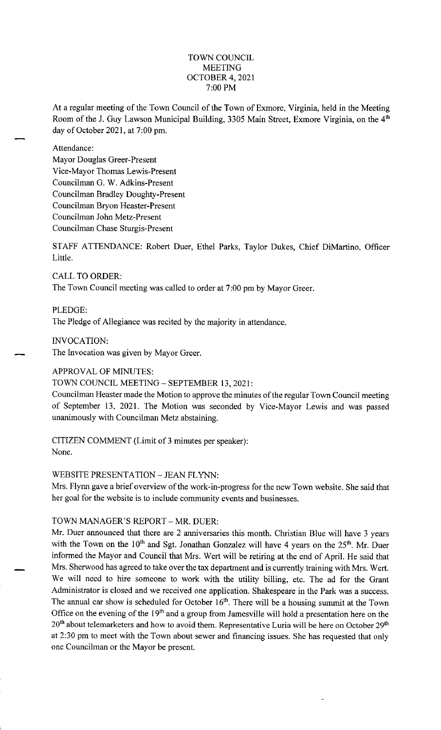### TOWN COUNCIL MEETING OCTOBER 4, 2021 7:00 PM

At a regular meeting of the Town Council of the Town of Exmore, Virginia, held in the Meeting Room of the J. Guy Lawson Municipal Building, 3305 Main Street, Exmore Virginia, on the 4<sup>th</sup> day of October 2021, at 7:00 pm.

#### Attendance:

Mayor Douglas Greer-Present Vice-Mayor Thomas Lewis-Present Councilman G. W. Adkins-Present Councilman Bradley Doughty-Present Councilman Bryon Heaster-Present Councilman John Metz-Present Councilman Chase Sturgis-Present

STAFF ATTENDANCE: Robert Duer, Ethel Parks, Taylor Dukes, Chief DiMartino, Officer Little.

CALL TO ORDER: The Town Council meeting was called to order at 7:00 pm by Mayor Greer.

PLEDGE: The Pledge of Allegiance was recited by the majority in attendance.

INVOCATION:

The Invocation was given by Mayor Greer.

### APPROVAL OF MINUTES:

### TOWN COUNCIL MEETING - SEPTEMBER 13, 2021:

Councilman Heaster made the Motion to approve the minutes of the regular Town Council meeting of September 13, 2021. The Motion was seconded by Vice-Mayor Lewis and was passed unanimously with Councilman Metz abstaining.

CITIZEN COMMENT (Limit of 3 minutes per speaker): None.

WEBSITE PRESENTATION - JEAN FLYNN:

Mrs. Flynn gave a brief overview of the work-in-progress for the new Town website. She said that her goal for the website is to include community events and businesses.

# TOWN MANAGER'S REPORT - MR. DUER:

Mr. Duer announced that there are 2 anniversaries this month. Christian Blue will have 3 years with the Town on the  $10<sup>th</sup>$  and Sgt. Jonathan Gonzalez will have 4 years on the  $25<sup>th</sup>$ . Mr. Duer informed the Mayor and Council that Mrs. Wert will be retiring at the end of April. He said that Mrs. Sherwood has agreed to take over the tax department and is currently training with Mrs. Wert. We will need to hire someone to work with the utility billing, etc. The ad for the Grant Administrator is closed and we received one application. Shakespeare in the Park was a success. The annual car show is scheduled for October  $16<sup>th</sup>$ . There will be a housing summit at the Town Office on the evening of the 19<sup>th</sup> and a group from Jamesville will hold a presentation here on the 20<sup>th</sup> about telemarketers and how to avoid them. Representative Luria will be here on October 29<sup>th</sup> at 2: 30 pm to meet with the Town about sewer and financing issues. She has requested that only one Councilman or the Mayor be present.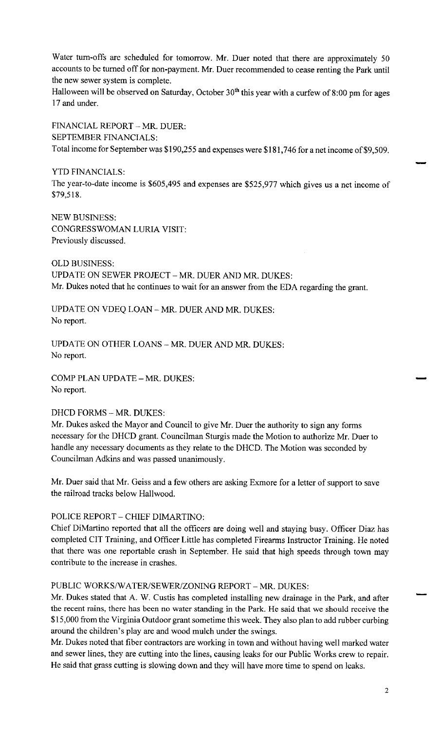Water turn-offs are scheduled for tomorrow. Mr. Duer noted that there are approximately 50 accounts to be turned off for non-payment. Mr. Duer recommended to cease renting the Park until the new sewer system is complete.

Halloween will be observed on Saturday, October  $30<sup>th</sup>$  this year with a curfew of 8:00 pm for ages 17 and under.

FINANCIAL REPORT - MR. DUER: SEPTEMBER FINANCIALS: Total income for September was \$190,255 and expenses were \$181,746 for a net income of \$9,509.

YTD FINANCIALS:

The year-to-date income is \$605,495 and expenses are \$525,977 which gives us a net income of \$79,518.

NEW BUSINESS: CONGRESSWOMAN LURIA VISIT: Previously discussed.

OLD BUSINESS: UPDATE ON SEWER PROJECT - MR. DUER AND MR. DUKES: Mr. Dukes noted that he continues to wait for an answer from the EDA regarding the grant.

UPDATE ON VDEQ LOAN - MR. DUER AND MR. DUKES: No report.

UPDATE ON OTHER LOANS - MR. DUER AND MR. DUKES: No report.

COMP PLAN UPDATE - MR. DUKES: No report.

# DHCD FORMS - MR. DUKES:

Mr. Dukes asked the Mayor and Council to give Mr. Duer the authority to sign any forms necessary for the DHCD grant. Councilman Sturgis made the Motion to authorize Mr. Duer to handle any necessary documents as they relate to the DHCD. The Motion was seconded by Councilman Adkins and was passed unanimously.

Mr. Duer said that Mr. Geiss and a few others are asking Exmore for a letter of support to save the railroad tracks below Hallwood.

### POLICE REPORT - CHIEF DIMARTINO:

Chief DiMartino reported that all the officers are doing well and staying busy. Officer Diaz has completed CIT Training, and Officer Little has completed Firearms Instructor Training. He noted that there was one reportable crash in September. He said that high speeds through town may contribute to the increase in crashes.

## PUBLIC WORKS/WATER/SEWER/ZONING REPORT - MR. DUKES:

Mr. Dukes stated that A. W. Custis has completed installing new drainage in the Park, and after the recent rains, there has been no water standing in the Park. He said that we should receive the \$15,000 from the Virginia Outdoor grant sometime this week. They also plan to add rubber curbing around the children's play are and wood mulch under the swings.

Mr. Dukes noted that fiber contractors are working in town and without having well marked water and sewer lines, they are cutting into the lines, causing leaks for our Public Works crew to repair. He said that grass cutting is slowing down and they will have more time to spend on leaks.